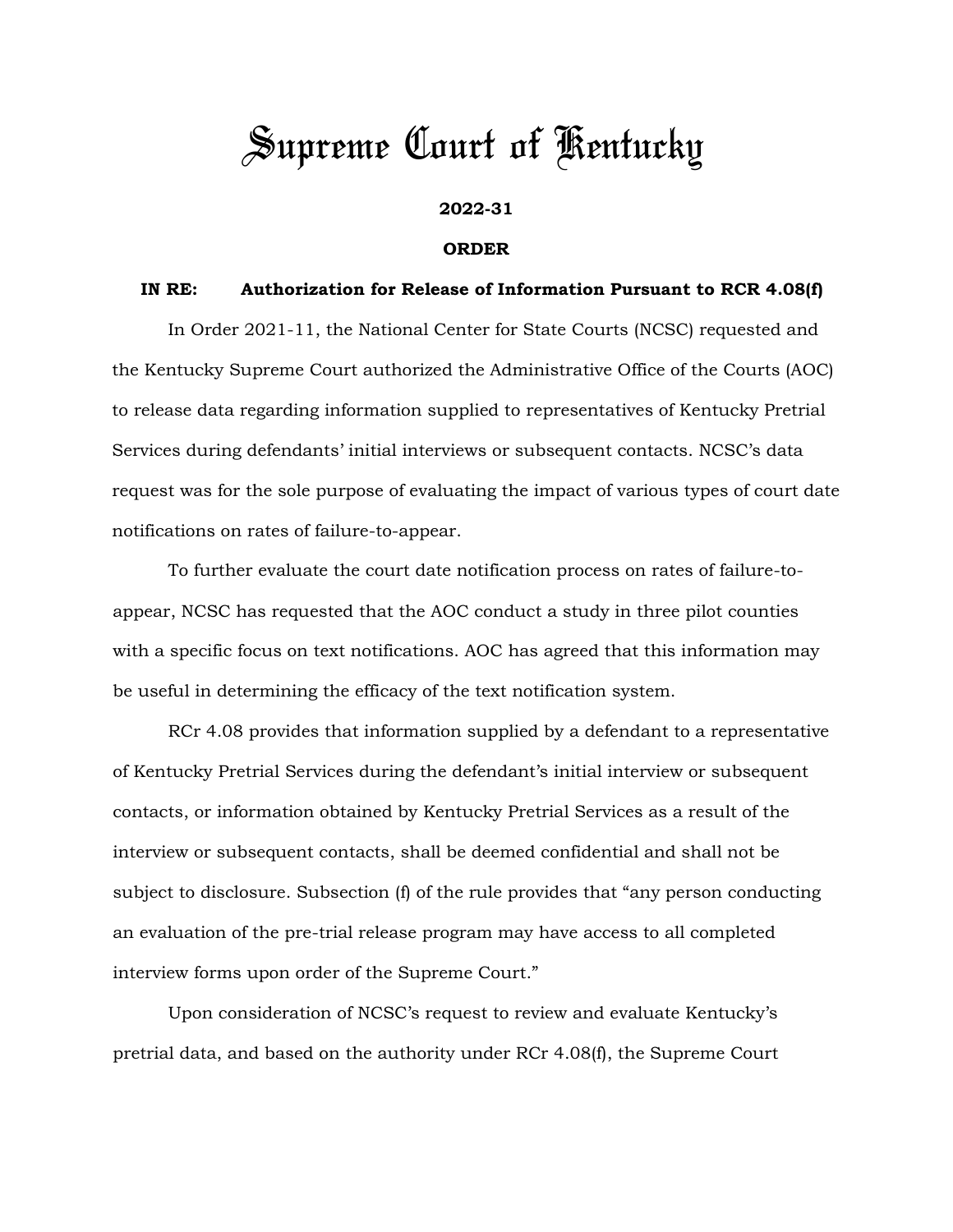## *Supreme Court of Kentucky*

## **2022-31**

## **ORDER**

## **IN RE: Authorization for Release of Information Pursuant to RCR 4.08(f)**

 In Order 2021-11, the National Center for State Courts (NCSC) requested and the Kentucky Supreme Court authorized the Administrative Office of the Courts (AOC) to release data regarding information supplied to representatives of Kentucky Pretrial Services during defendants' initial interviews or subsequent contacts. NCSC's data request was for the sole purpose of evaluating the impact of various types of court date notifications on rates of failure-to-appear.

To further evaluate the court date notification process on rates of failure-toappear, NCSC has requested that the AOC conduct a study in three pilot counties with a specific focus on text notifications. AOC has agreed that this information may be useful in determining the efficacy of the text notification system.

RCr 4.08 provides that information supplied by a defendant to a representative of Kentucky Pretrial Services during the defendant's initial interview or subsequent contacts, or information obtained by Kentucky Pretrial Services as a result of the interview or subsequent contacts, shall be deemed confidential and shall not be subject to disclosure. Subsection (f) of the rule provides that "any person conducting an evaluation of the pre-trial release program may have access to all completed interview forms upon order of the Supreme Court."

Upon consideration of NCSC's request to review and evaluate Kentucky's pretrial data, and based on the authority under RCr 4.08(f), the Supreme Court